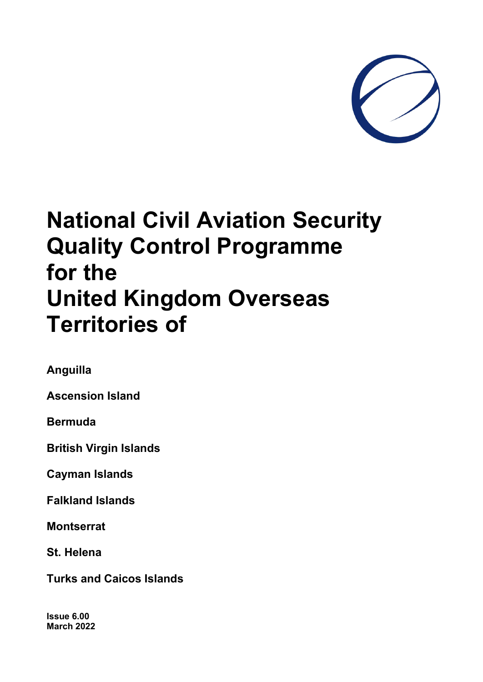

# **National Civil Aviation Security Quality Control Programme for the United Kingdom Overseas Territories of**

**Anguilla**

**Ascension Island**

**Bermuda**

**British Virgin Islands**

**Cayman Islands**

**Falkland Islands**

**Montserrat**

**St. Helena**

**Turks and Caicos Islands**

**Issue 6.00 March 2022**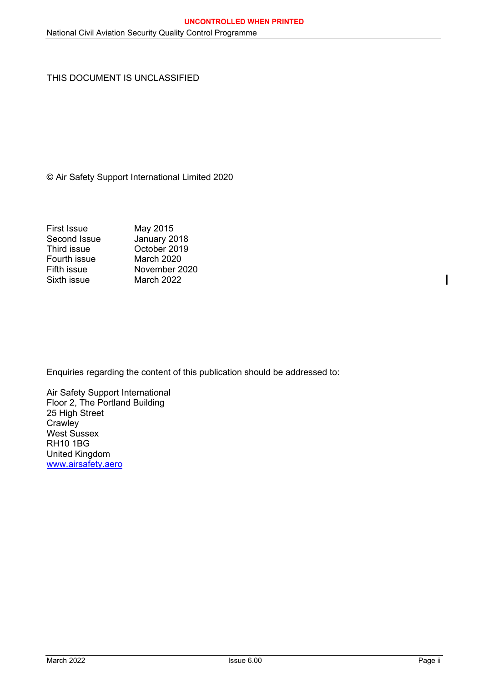THIS DOCUMENT IS UNCLASSIFIED

© Air Safety Support International Limited 2020

| <b>First Issue</b> | May 2015          |
|--------------------|-------------------|
| Second Issue       | January 2018      |
| Third issue        | October 2019      |
| Fourth issue       | <b>March 2020</b> |
| Fifth issue        | November 2020     |
| Sixth issue        | <b>March 2022</b> |
|                    |                   |

Enquiries regarding the content of this publication should be addressed to:

Air Safety Support International Floor 2, The Portland Building 25 High Street **Crawley** West Sussex RH10 1BG United Kingdom [www.airsafety.aero](http://www.airsafety.aero/)

 $\overline{\phantom{a}}$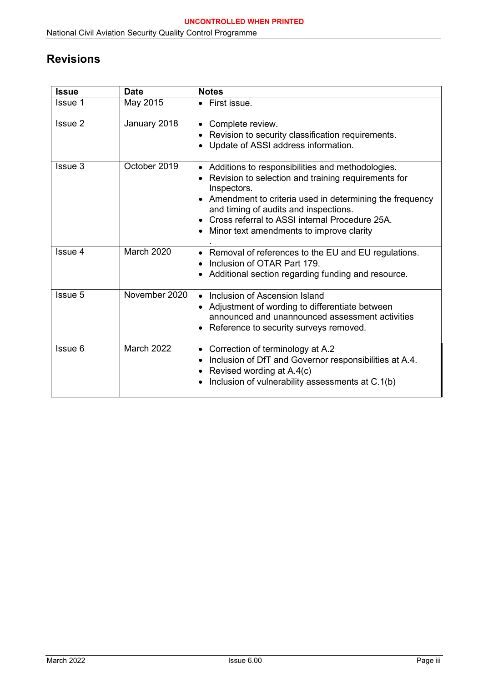# <span id="page-2-0"></span>**Revisions**

| <b>Issue</b>   | <b>Date</b>       | <b>Notes</b>                                                                                                                                                                                                                                                                                                                                                                              |
|----------------|-------------------|-------------------------------------------------------------------------------------------------------------------------------------------------------------------------------------------------------------------------------------------------------------------------------------------------------------------------------------------------------------------------------------------|
| <b>Issue 1</b> | May 2015          | • First issue.                                                                                                                                                                                                                                                                                                                                                                            |
| Issue 2        | January 2018      | Complete review.<br>$\bullet$<br>Revision to security classification requirements.<br>Update of ASSI address information.<br>$\bullet$                                                                                                                                                                                                                                                    |
| Issue 3        | October 2019      | Additions to responsibilities and methodologies.<br>$\bullet$<br>Revision to selection and training requirements for<br>$\bullet$<br>Inspectors.<br>Amendment to criteria used in determining the frequency<br>$\bullet$<br>and timing of audits and inspections.<br>Cross referral to ASSI internal Procedure 25A.<br>$\bullet$<br>Minor text amendments to improve clarity<br>$\bullet$ |
| Issue 4        | March 2020        | Removal of references to the EU and EU regulations.<br>$\bullet$<br>Inclusion of OTAR Part 179.<br>$\bullet$<br>Additional section regarding funding and resource.                                                                                                                                                                                                                        |
| Issue 5        | November 2020     | Inclusion of Ascension Island<br>$\bullet$<br>Adjustment of wording to differentiate between<br>$\bullet$<br>announced and unannounced assessment activities<br>Reference to security surveys removed.<br>$\bullet$                                                                                                                                                                       |
| Issue 6        | <b>March 2022</b> | Correction of terminology at A.2<br>٠<br>Inclusion of DfT and Governor responsibilities at A.4.<br>$\bullet$<br>Revised wording at A.4(c)<br>$\bullet$<br>Inclusion of vulnerability assessments at C.1(b)                                                                                                                                                                                |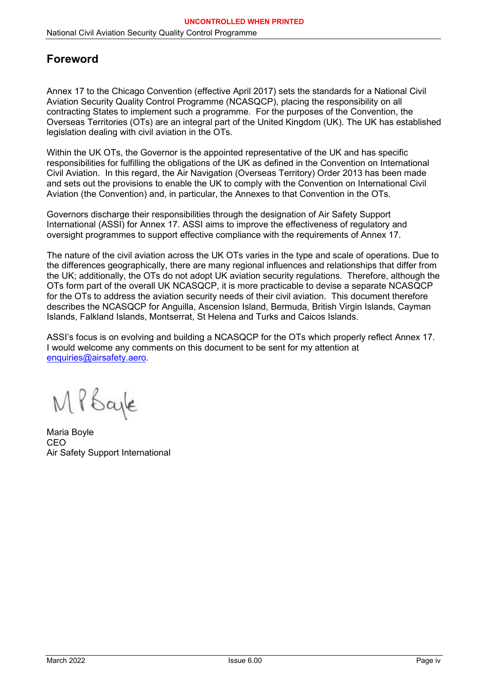# <span id="page-3-0"></span>**Foreword**

Annex 17 to the Chicago Convention (effective April 2017) sets the standards for a National Civil Aviation Security Quality Control Programme (NCASQCP), placing the responsibility on all contracting States to implement such a programme. For the purposes of the Convention, the Overseas Territories (OTs) are an integral part of the United Kingdom (UK). The UK has established legislation dealing with civil aviation in the OTs.

Within the UK OTs, the Governor is the appointed representative of the UK and has specific responsibilities for fulfilling the obligations of the UK as defined in the Convention on International Civil Aviation. In this regard, the Air Navigation (Overseas Territory) Order 2013 has been made and sets out the provisions to enable the UK to comply with the Convention on International Civil Aviation (the Convention) and, in particular, the Annexes to that Convention in the OTs.

Governors discharge their responsibilities through the designation of Air Safety Support International (ASSI) for Annex 17. ASSI aims to improve the effectiveness of regulatory and oversight programmes to support effective compliance with the requirements of Annex 17.

The nature of the civil aviation across the UK OTs varies in the type and scale of operations. Due to the differences geographically, there are many regional influences and relationships that differ from the UK; additionally, the OTs do not adopt UK aviation security regulations. Therefore, although the OTs form part of the overall UK NCASQCP, it is more practicable to devise a separate NCASQCP for the OTs to address the aviation security needs of their civil aviation. This document therefore describes the NCASQCP for Anguilla, Ascension Island, Bermuda, British Virgin Islands, Cayman Islands, Falkland Islands, Montserrat, St Helena and Turks and Caicos Islands.

ASSI's focus is on evolving and building a NCASQCP for the OTs which properly reflect Annex 17. I would welcome any comments on this document to be sent for my attention at [enquiries@airsafety.aero.](mailto:enquiries@airsafety.aero)

MPbayle

Maria Boyle **CEO** Air Safety Support International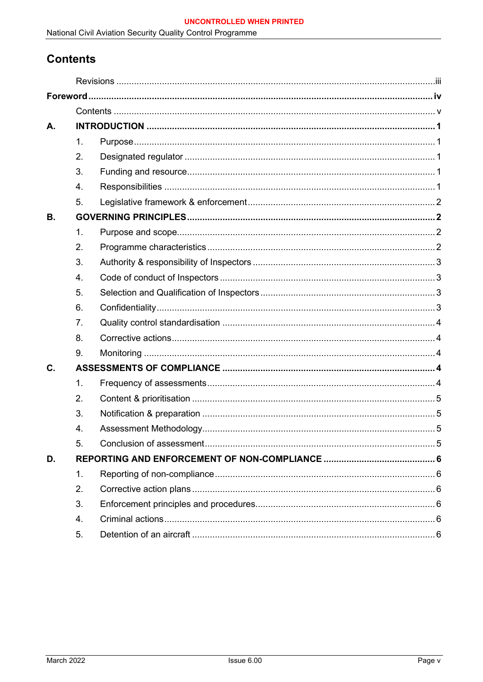National Civil Aviation Security Quality Control Programme

# <span id="page-4-0"></span>**Contents**

| A.        |                |  |
|-----------|----------------|--|
|           | 1.             |  |
|           | 2.             |  |
|           | 3.             |  |
|           | 4.             |  |
|           | 5 <sub>1</sub> |  |
| <b>B.</b> |                |  |
|           | 1.             |  |
|           | 2.             |  |
|           | 3.             |  |
|           | 4.             |  |
|           | 5.             |  |
|           | 6.             |  |
|           | 7.             |  |
|           | 8.             |  |
|           | 9.             |  |
| C.        |                |  |
|           | 1.             |  |
|           | 2.             |  |
|           | 3.             |  |
|           | 4.             |  |
|           | 5.             |  |
| D.        |                |  |
|           | 1.             |  |
|           | 2.             |  |
|           | 3.             |  |
|           | 4.             |  |
|           | 5.             |  |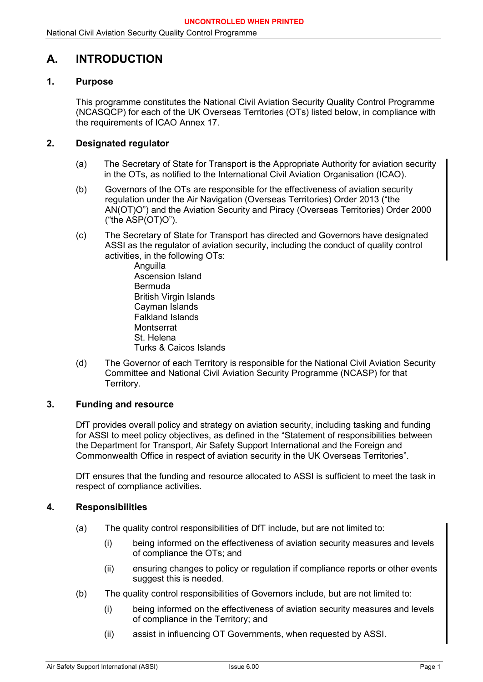# <span id="page-5-0"></span>**A. INTRODUCTION**

# <span id="page-5-1"></span>**1. Purpose**

This programme constitutes the National Civil Aviation Security Quality Control Programme (NCASQCP) for each of the UK Overseas Territories (OTs) listed below, in compliance with the requirements of ICAO Annex 17.

# <span id="page-5-2"></span>**2. Designated regulator**

- (a) The Secretary of State for Transport is the Appropriate Authority for aviation security in the OTs, as notified to the International Civil Aviation Organisation (ICAO).
- (b) Governors of the OTs are responsible for the effectiveness of aviation security regulation under the Air Navigation (Overseas Territories) Order 2013 ("the AN(OT)O") and the Aviation Security and Piracy (Overseas Territories) Order 2000 ("the ASP(OT)O").
- (c) The Secretary of State for Transport has directed and Governors have designated ASSI as the regulator of aviation security, including the conduct of quality control activities, in the following OTs:
	- **Anguilla** Ascension Island Bermuda British Virgin Islands Cayman Islands Falkland Islands **Montserrat** St. Helena Turks & Caicos Islands
- (d) The Governor of each Territory is responsible for the National Civil Aviation Security Committee and National Civil Aviation Security Programme (NCASP) for that Territory.

# <span id="page-5-3"></span>**3. Funding and resource**

DfT provides overall policy and strategy on aviation security, including tasking and funding for ASSI to meet policy objectives, as defined in the "Statement of responsibilities between the Department for Transport, Air Safety Support International and the Foreign and Commonwealth Office in respect of aviation security in the UK Overseas Territories".

DfT ensures that the funding and resource allocated to ASSI is sufficient to meet the task in respect of compliance activities.

## <span id="page-5-4"></span>**4. Responsibilities**

- (a) The quality control responsibilities of DfT include, but are not limited to:
	- (i) being informed on the effectiveness of aviation security measures and levels of compliance the OTs; and
	- (ii) ensuring changes to policy or regulation if compliance reports or other events suggest this is needed.
- (b) The quality control responsibilities of Governors include, but are not limited to:
	- (i) being informed on the effectiveness of aviation security measures and levels of compliance in the Territory; and
	- (ii) assist in influencing OT Governments, when requested by ASSI.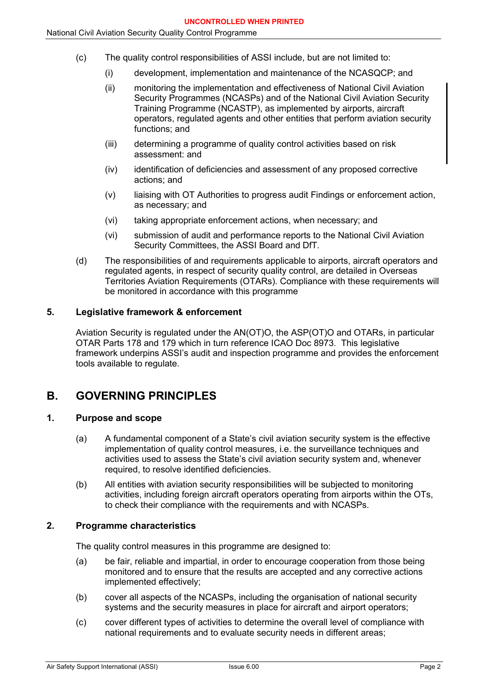- (c) The quality control responsibilities of ASSI include, but are not limited to:
	- (i) development, implementation and maintenance of the NCASQCP; and
	- (ii) monitoring the implementation and effectiveness of National Civil Aviation Security Programmes (NCASPs) and of the National Civil Aviation Security Training Programme (NCASTP), as implemented by airports, aircraft operators, regulated agents and other entities that perform aviation security functions; and
	- (iii) determining a programme of quality control activities based on risk assessment: and
	- (iv) identification of deficiencies and assessment of any proposed corrective actions; and
	- (v) liaising with OT Authorities to progress audit Findings or enforcement action, as necessary; and
	- (vi) taking appropriate enforcement actions, when necessary; and
	- (vi) submission of audit and performance reports to the National Civil Aviation Security Committees, the ASSI Board and DfT.
- (d) The responsibilities of and requirements applicable to airports, aircraft operators and regulated agents, in respect of security quality control, are detailed in Overseas Territories Aviation Requirements (OTARs). Compliance with these requirements will be monitored in accordance with this programme

## <span id="page-6-0"></span>**5. Legislative framework & enforcement**

Aviation Security is regulated under the AN(OT)O, the ASP(OT)O and OTARs, in particular OTAR Parts 178 and 179 which in turn reference ICAO Doc 8973. This legislative framework underpins ASSI's audit and inspection programme and provides the enforcement tools available to regulate.

# <span id="page-6-1"></span>**B. GOVERNING PRINCIPLES**

# <span id="page-6-2"></span>**1. Purpose and scope**

- (a) A fundamental component of a State's civil aviation security system is the effective implementation of quality control measures, i.e. the surveillance techniques and activities used to assess the State's civil aviation security system and, whenever required, to resolve identified deficiencies.
- (b) All entities with aviation security responsibilities will be subjected to monitoring activities, including foreign aircraft operators operating from airports within the OTs, to check their compliance with the requirements and with NCASPs.

## <span id="page-6-3"></span>**2. Programme characteristics**

The quality control measures in this programme are designed to:

- (a) be fair, reliable and impartial, in order to encourage cooperation from those being monitored and to ensure that the results are accepted and any corrective actions implemented effectively;
- (b) cover all aspects of the NCASPs, including the organisation of national security systems and the security measures in place for aircraft and airport operators;
- (c) cover different types of activities to determine the overall level of compliance with national requirements and to evaluate security needs in different areas;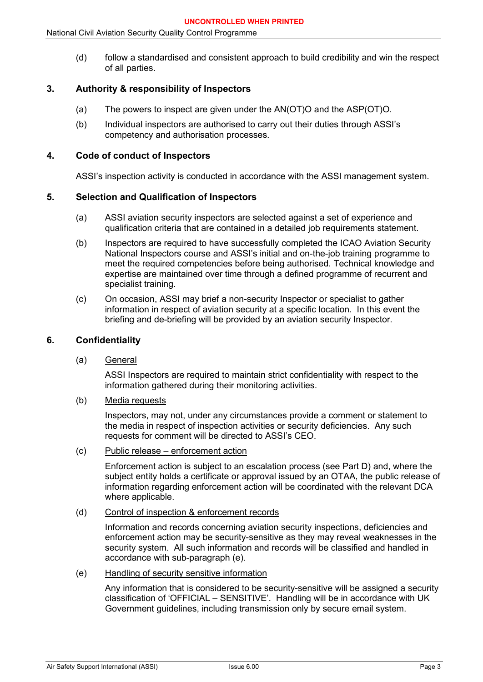(d) follow a standardised and consistent approach to build credibility and win the respect of all parties.

# <span id="page-7-0"></span>**3. Authority & responsibility of Inspectors**

- (a) The powers to inspect are given under the AN(OT)O and the ASP(OT)O.
- (b) Individual inspectors are authorised to carry out their duties through ASSI's competency and authorisation processes.

# <span id="page-7-1"></span>**4. Code of conduct of Inspectors**

ASSI's inspection activity is conducted in accordance with the ASSI management system.

## <span id="page-7-2"></span>**5. Selection and Qualification of Inspectors**

- (a) ASSI aviation security inspectors are selected against a set of experience and qualification criteria that are contained in a detailed job requirements statement.
- (b) Inspectors are required to have successfully completed the ICAO Aviation Security National Inspectors course and ASSI's initial and on-the-job training programme to meet the required competencies before being authorised. Technical knowledge and expertise are maintained over time through a defined programme of recurrent and specialist training.
- (c) On occasion, ASSI may brief a non-security Inspector or specialist to gather information in respect of aviation security at a specific location. In this event the briefing and de-briefing will be provided by an aviation security Inspector.

# <span id="page-7-3"></span>**6. Confidentiality**

(a) General

ASSI Inspectors are required to maintain strict confidentiality with respect to the information gathered during their monitoring activities.

(b) Media requests

Inspectors, may not, under any circumstances provide a comment or statement to the media in respect of inspection activities or security deficiencies. Any such requests for comment will be directed to ASSI's CEO.

(c) Public release – enforcement action

Enforcement action is subject to an escalation process (see Part D) and, where the subject entity holds a certificate or approval issued by an OTAA, the public release of information regarding enforcement action will be coordinated with the relevant DCA where applicable.

(d) Control of inspection & enforcement records

Information and records concerning aviation security inspections, deficiencies and enforcement action may be security-sensitive as they may reveal weaknesses in the security system. All such information and records will be classified and handled in accordance with sub-paragraph (e).

(e) Handling of security sensitive information

Any information that is considered to be security-sensitive will be assigned a security classification of 'OFFICIAL – SENSITIVE'. Handling will be in accordance with UK Government guidelines, including transmission only by secure email system.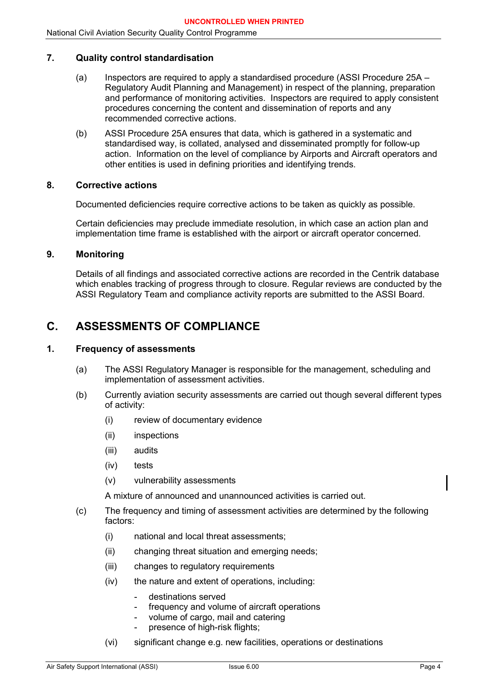#### <span id="page-8-0"></span>**7. Quality control standardisation**

- (a) Inspectors are required to apply a standardised procedure (ASSI Procedure 25A Regulatory Audit Planning and Management) in respect of the planning, preparation and performance of monitoring activities. Inspectors are required to apply consistent procedures concerning the content and dissemination of reports and any recommended corrective actions.
- (b) ASSI Procedure 25A ensures that data, which is gathered in a systematic and standardised way, is collated, analysed and disseminated promptly for follow-up action. Information on the level of compliance by Airports and Aircraft operators and other entities is used in defining priorities and identifying trends.

#### <span id="page-8-1"></span>**8. Corrective actions**

Documented deficiencies require corrective actions to be taken as quickly as possible.

Certain deficiencies may preclude immediate resolution, in which case an action plan and implementation time frame is established with the airport or aircraft operator concerned.

## <span id="page-8-2"></span>**9. Monitoring**

Details of all findings and associated corrective actions are recorded in the Centrik database which enables tracking of progress through to closure. Regular reviews are conducted by the ASSI Regulatory Team and compliance activity reports are submitted to the ASSI Board.

# <span id="page-8-3"></span>**C. ASSESSMENTS OF COMPLIANCE**

#### <span id="page-8-4"></span>**1. Frequency of assessments**

- (a) The ASSI Regulatory Manager is responsible for the management, scheduling and implementation of assessment activities.
- (b) Currently aviation security assessments are carried out though several different types of activity:
	- (i) review of documentary evidence
	- (ii) inspections
	- (iii) audits
	- (iv) tests
	- (v) vulnerability assessments

A mixture of announced and unannounced activities is carried out.

- (c) The frequency and timing of assessment activities are determined by the following factors:
	- (i) national and local threat assessments;
	- (ii) changing threat situation and emerging needs;
	- (iii) changes to regulatory requirements
	- (iv) the nature and extent of operations, including:
		- destinations served
		- frequency and volume of aircraft operations
		- volume of cargo, mail and catering
		- presence of high-risk flights;
	- (vi) significant change e.g. new facilities, operations or destinations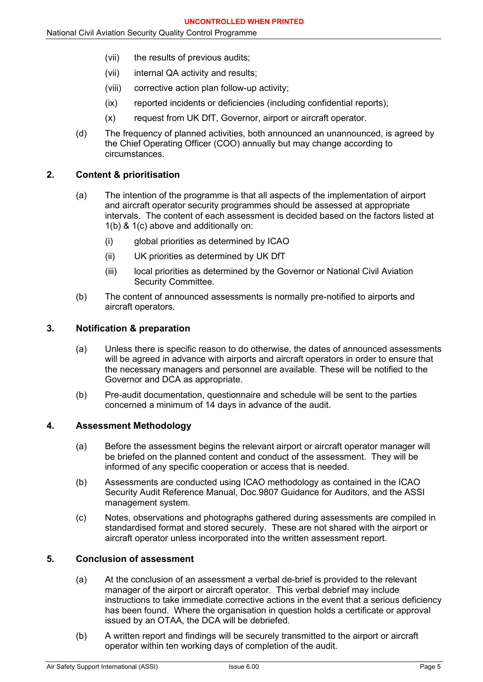- (vii) the results of previous audits;
- (vii) internal QA activity and results;
- (viii) corrective action plan follow-up activity;
- (ix) reported incidents or deficiencies (including confidential reports);
- (x) request from UK DfT, Governor, airport or aircraft operator.
- (d) The frequency of planned activities, both announced an unannounced, is agreed by the Chief Operating Officer (COO) annually but may change according to circumstances.

# <span id="page-9-0"></span>**2. Content & prioritisation**

- (a) The intention of the programme is that all aspects of the implementation of airport and aircraft operator security programmes should be assessed at appropriate intervals. The content of each assessment is decided based on the factors listed at 1(b) & 1(c) above and additionally on:
	- (i) global priorities as determined by ICAO
	- (ii) UK priorities as determined by UK DfT
	- (iii) local priorities as determined by the Governor or National Civil Aviation Security Committee.
- (b) The content of announced assessments is normally pre-notified to airports and aircraft operators.

# <span id="page-9-1"></span>**3. Notification & preparation**

- (a) Unless there is specific reason to do otherwise, the dates of announced assessments will be agreed in advance with airports and aircraft operators in order to ensure that the necessary managers and personnel are available. These will be notified to the Governor and DCA as appropriate.
- (b) Pre-audit documentation, questionnaire and schedule will be sent to the parties concerned a minimum of 14 days in advance of the audit.

## <span id="page-9-2"></span>**4. Assessment Methodology**

- (a) Before the assessment begins the relevant airport or aircraft operator manager will be briefed on the planned content and conduct of the assessment. They will be informed of any specific cooperation or access that is needed.
- (b) Assessments are conducted using ICAO methodology as contained in the ICAO Security Audit Reference Manual, Doc.9807 Guidance for Auditors, and the ASSI management system.
- (c) Notes, observations and photographs gathered during assessments are compiled in standardised format and stored securely. These are not shared with the airport or aircraft operator unless incorporated into the written assessment report.

## <span id="page-9-3"></span>**5. Conclusion of assessment**

- (a) At the conclusion of an assessment a verbal de-brief is provided to the relevant manager of the airport or aircraft operator. This verbal debrief may include instructions to take immediate corrective actions in the event that a serious deficiency has been found. Where the organisation in question holds a certificate or approval issued by an OTAA, the DCA will be debriefed.
- (b) A written report and findings will be securely transmitted to the airport or aircraft operator within ten working days of completion of the audit.